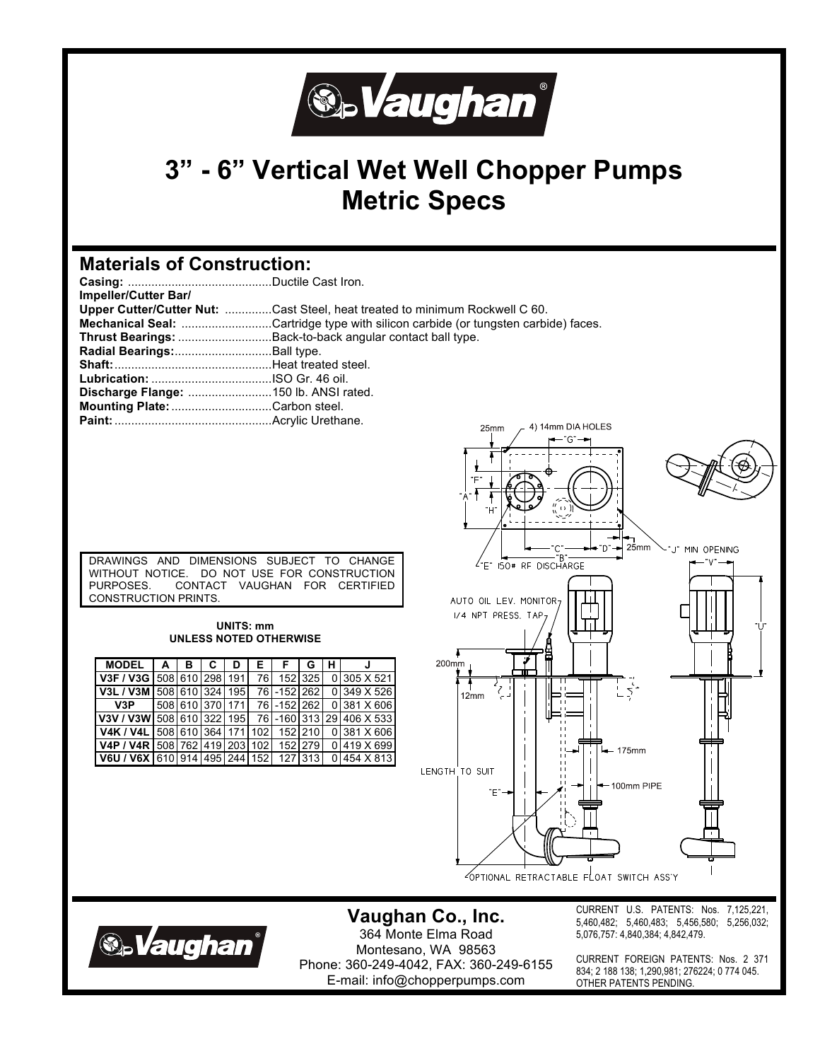

## **3" - 6" Vertical Wet Well Chopper Pumps Metric Specs**

## **Materials of Construction:**

| Impeller/Cutter Bar/                  |                                                                                          |
|---------------------------------------|------------------------------------------------------------------------------------------|
|                                       | Upper Cutter/Cutter Nut: Cast Steel, heat treated to minimum Rockwell C 60.              |
|                                       | <b>Mechanical Seal:</b> Cartridge type with silicon carbide (or tungsten carbide) faces. |
|                                       | Thrust Bearings: Back-to-back angular contact ball type.                                 |
| Radial Bearings:Ball type.            |                                                                                          |
|                                       |                                                                                          |
| <b>Lubrication:</b> ISO Gr. 46 oil.   |                                                                                          |
| Discharge Flange: 150 lb. ANSI rated. |                                                                                          |
| Mounting Plate: Carbon steel.         |                                                                                          |
|                                       | $25mm$ $\rightarrow$ 4) 14mm DIA HOLES                                                   |

| DRAWINGS AND DIMENSIONS SUBJECT TO CHANGE   |  |  |  |  |  |  |  |  |
|---------------------------------------------|--|--|--|--|--|--|--|--|
| WITHOUT NOTICE. DO NOT USE FOR CONSTRUCTION |  |  |  |  |  |  |  |  |
| PURPOSES. CONTACT VAUGHAN FOR CERTIFIED     |  |  |  |  |  |  |  |  |
| CONSTRUCTION PRINTS.                        |  |  |  |  |  |  |  |  |

#### **UNITS: mm UNLESS NOTED OTHERWISE**

| MODEL   A   B                                       |                 | C. | D | ΕI   | F.           | G       | н. | J                         |
|-----------------------------------------------------|-----------------|----|---|------|--------------|---------|----|---------------------------|
| V3F / V3G 508 610 298 191                           |                 |    |   | 76 I |              | 152 325 |    | 0 305 X 521               |
| V3L/V3M                                             | 508 610 324 195 |    |   |      | 76 - 152 262 |         |    | 0 349 X 526               |
| V3P                                                 | 508 610 370 171 |    |   |      | 76 - 152 262 |         |    | 0 381 X 606               |
| V3V / V3W 508 610 322 195                           |                 |    |   |      |              |         |    | 76 - 160 313 29 406 X 533 |
| V4K / V4L 508 610 364 171 102 152 210               |                 |    |   |      |              |         |    | 0 381 X 606               |
| V4P / V4R   508   762   419   203   102   152   279 |                 |    |   |      |              |         |    | 0 419 X 699               |
| V6U / V6X 610 914 495 244 152 127 313               |                 |    |   |      |              |         |    | $0 454 \times 813 $       |



## **Vaughan Co., Inc.**



364 Monte Elma Road Montesano, WA 98563 Phone: 360-249-4042, FAX: 360-249-6155 E-mail: info@chopperpumps.com

CURRENT U.S. PATENTS: Nos. 7,125,221, 5,460,482; 5,460,483; 5,456,580; 5,256,032; 5,076,757: 4,840,384; 4,842,479.

CURRENT FOREIGN PATENTS: Nos. 2 371 834; 2 188 138; 1,290,981; 276224; 0 774 045. OTHER PATENTS PENDING.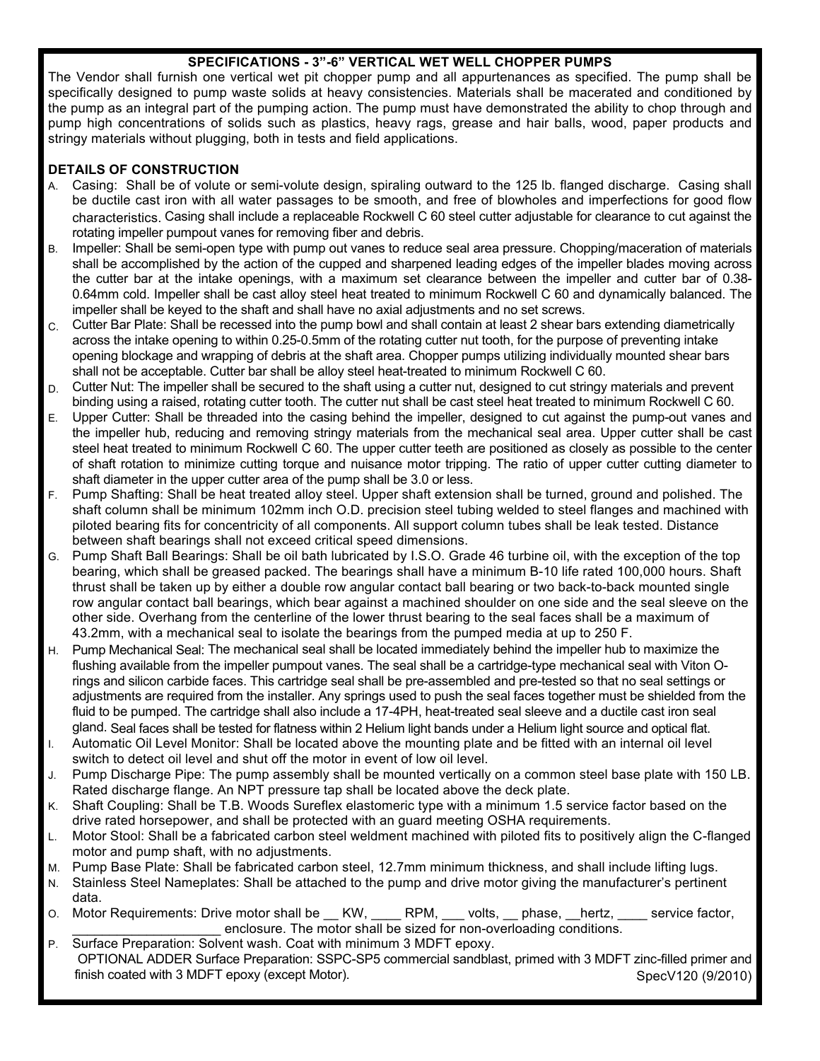#### **SPECIFICATIONS - 3"-6" VERTICAL WET WELL CHOPPER PUMPS**

The Vendor shall furnish one vertical wet pit chopper pump and all appurtenances as specified. The pump shall be specifically designed to pump waste solids at heavy consistencies. Materials shall be macerated and conditioned by the pump as an integral part of the pumping action. The pump must have demonstrated the ability to chop through and pump high concentrations of solids such as plastics, heavy rags, grease and hair balls, wood, paper products and stringy materials without plugging, both in tests and field applications.

### **DETAILS OF CONSTRUCTION**

- A. Casing: Shall be of volute or semi-volute design, spiraling outward to the 125 lb. flanged discharge. Casing shall be ductile cast iron with all water passages to be smooth, and free of blowholes and imperfections for good flow characteristics. Casing shall include a replaceable Rockwell C 60 steel cutter adjustable for clearance to cut against the rotating impeller pumpout vanes for removing fiber and debris.
- B. Impeller: Shall be semi-open type with pump out vanes to reduce seal area pressure. Chopping/maceration of materials shall be accomplished by the action of the cupped and sharpened leading edges of the impeller blades moving across the cutter bar at the intake openings, with a maximum set clearance between the impeller and cutter bar of 0.38- 0.64mm cold. Impeller shall be cast alloy steel heat treated to minimum Rockwell C 60 and dynamically balanced. The impeller shall be keyed to the shaft and shall have no axial adjustments and no set screws.
- C. Cutter Bar Plate: Shall be recessed into the pump bowl and shall contain at least 2 shear bars extending diametrically across the intake opening to within 0.25-0.5mm of the rotating cutter nut tooth, for the purpose of preventing intake opening blockage and wrapping of debris at the shaft area. Chopper pumps utilizing individually mounted shear bars shall not be acceptable. Cutter bar shall be alloy steel heat-treated to minimum Rockwell C 60.
- D. Cutter Nut: The impeller shall be secured to the shaft using a cutter nut, designed to cut stringy materials and prevent binding using a raised, rotating cutter tooth. The cutter nut shall be cast steel heat treated to minimum Rockwell C 60.
- E. Upper Cutter: Shall be threaded into the casing behind the impeller, designed to cut against the pump-out vanes and the impeller hub, reducing and removing stringy materials from the mechanical seal area. Upper cutter shall be cast steel heat treated to minimum Rockwell C 60. The upper cutter teeth are positioned as closely as possible to the center of shaft rotation to minimize cutting torque and nuisance motor tripping. The ratio of upper cutter cutting diameter to shaft diameter in the upper cutter area of the pump shall be 3.0 or less.
- F. Pump Shafting: Shall be heat treated alloy steel. Upper shaft extension shall be turned, ground and polished. The shaft column shall be minimum 102mm inch O.D. precision steel tubing welded to steel flanges and machined with piloted bearing fits for concentricity of all components. All support column tubes shall be leak tested. Distance between shaft bearings shall not exceed critical speed dimensions.
- G. Pump Shaft Ball Bearings: Shall be oil bath lubricated by I.S.O. Grade 46 turbine oil, with the exception of the top bearing, which shall be greased packed. The bearings shall have a minimum B-10 life rated 100,000 hours. Shaft thrust shall be taken up by either a double row angular contact ball bearing or two back-to-back mounted single row angular contact ball bearings, which bear against a machined shoulder on one side and the seal sleeve on the other side. Overhang from the centerline of the lower thrust bearing to the seal faces shall be a maximum of 43.2mm, with a mechanical seal to isolate the bearings from the pumped media at up to 250 F.
- H. Pump Mechanical Seal: The mechanical seal shall be located immediately behind the impeller hub to maximize the flushing available from the impeller pumpout vanes. The seal shall be a cartridge-type mechanical seal with Viton Orings and silicon carbide faces. This cartridge seal shall be pre-assembled and pre-tested so that no seal settings or adjustments are required from the installer. Any springs used to push the seal faces together must be shielded from the fluid to be pumped. The cartridge shall also include a 17-4PH, heat-treated seal sleeve and a ductile cast iron seal gland. Seal faces shall be tested for flatness within 2 Helium light bands under a Helium light source and optical flat.
- I. Automatic Oil Level Monitor: Shall be located above the mounting plate and be fitted with an internal oil level switch to detect oil level and shut off the motor in event of low oil level.
- J. Pump Discharge Pipe: The pump assembly shall be mounted vertically on a common steel base plate with 150 LB. Rated discharge flange. An NPT pressure tap shall be located above the deck plate.
- K. Shaft Coupling: Shall be T.B. Woods Sureflex elastomeric type with a minimum 1.5 service factor based on the drive rated horsepower, and shall be protected with an guard meeting OSHA requirements.
- L. Motor Stool: Shall be a fabricated carbon steel weldment machined with piloted fits to positively align the C-flanged motor and pump shaft, with no adjustments.
- M. Pump Base Plate: Shall be fabricated carbon steel, 12.7mm minimum thickness, and shall include lifting lugs.
- N. Stainless Steel Nameplates: Shall be attached to the pump and drive motor giving the manufacturer's pertinent data.
- O. Motor Requirements: Drive motor shall be \_\_ KW, \_\_\_\_ RPM, \_\_\_ volts, \_\_ phase, \_\_hertz, \_\_\_\_ service factor, enclosure. The motor shall be sized for non-overloading conditions.
- P. Surface Preparation: Solvent wash. Coat with minimum 3 MDFT epoxy. OPTIONAL ADDER Surface Preparation: SSPC-SP5 commercial sandblast, primed with 3 MDFT zinc-filled primer and finish coated with 3 MDFT epoxy (except Motor). SpecV120 (9/2010) SpecV120 (9/2010)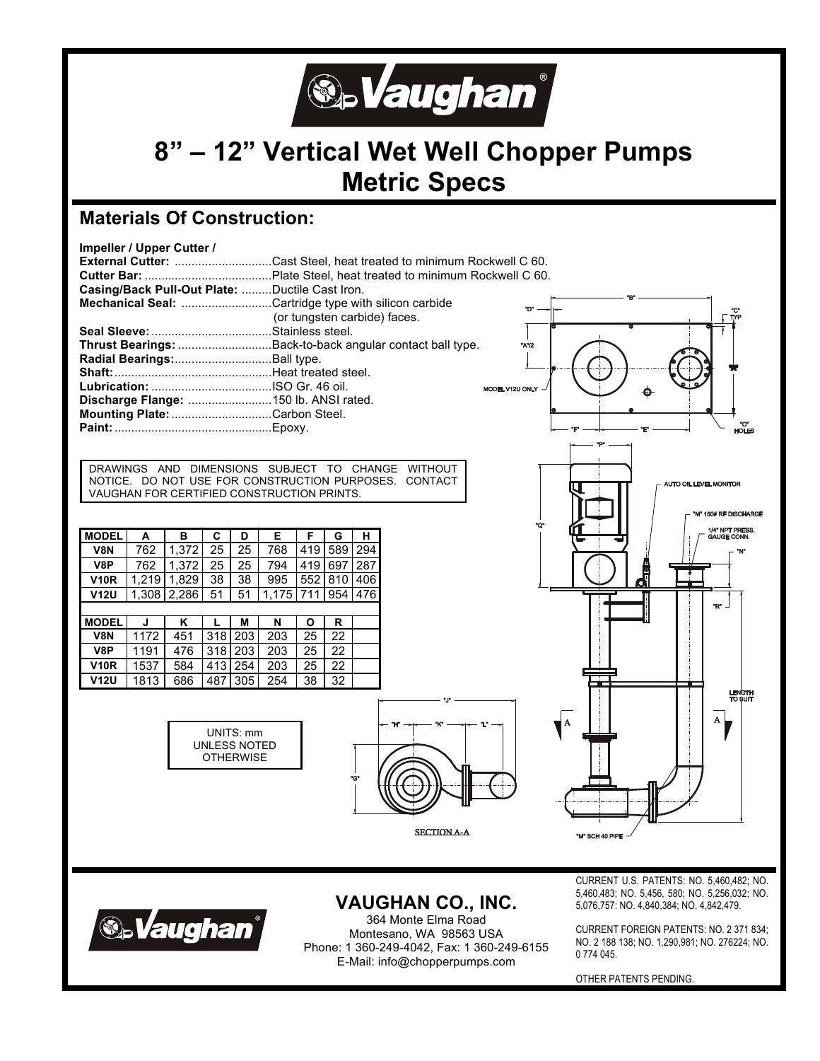

# **8" – 12" Vertical Wet Well Chopper Pumps Metric Specs**

**CI"A"** 

### **Materials Of Construction:**



DRAWINGS AND DIMENSIONS SUBJECT TO CHANGE WITHOUT NOTICE. DO NOT USE FOR CONSTRUCTION PURPOSES. CONTACT VAUGHAN FOR CERTIFIED CONSTRUCTION PRINTS.

| <b>MODEL</b>     | A     | в     | С   | D   | Е     | F   | G   | н   |  |  |
|------------------|-------|-------|-----|-----|-------|-----|-----|-----|--|--|
| <b>V8N</b>       | 762   | 1,372 | 25  | 25  | 768   | 419 | 589 | 294 |  |  |
| V8P              | 762   | 1,372 | 25  | 25  | 794   | 419 | 697 | 287 |  |  |
| <b>V10R</b>      | 1.219 | 1.829 | 38  | 38  | 995   | 552 | 810 | 406 |  |  |
| <b>V12U</b>      | 1,308 | 2,286 | 51  | 51  | 1,175 | 711 | 954 | 476 |  |  |
|                  |       |       |     |     |       |     |     |     |  |  |
| <b>MODEL</b>     | J     | Κ     | L   | M   | N     | Ο   | R   |     |  |  |
| V <sub>8</sub> N | 1172  | 451   | 318 | 203 | 203   | 25  | 22  |     |  |  |
| V8P              | 1191  | 476   | 318 | 203 | 203   | 25  | 22  |     |  |  |
| <b>V10R</b>      | 1537  | 584   | 413 | 254 | 203   | 25  | 22  |     |  |  |
| <b>V12U</b>      | 1813  | 686   | 487 | 305 | 254   | 38  | 32  |     |  |  |







'M" SCH 40 PI



**VAUGHAN CO., INC.** 

364 Monte Elma Road Montesano, WA 98563 USA Phone: 1 360-249-4042, Fax: 1 360-249-6155 E-Mail: info@chopperpumps.com

CURRENT U.S. PATENTS: NO. 5,460,482; NO. 5,460,483; NO. 5,456, 580; NO. 5,256,032; NO. 5,076,757: NO. 4,840,384; NO. 4,842,479.

CURRENT FOREIGN PATENTS: NO. 2 371 834; NO. 2 188 138; NO. 1,290,981; NO. 276224; NO. 0 774 045.

OTHER PATENTS PENDING.